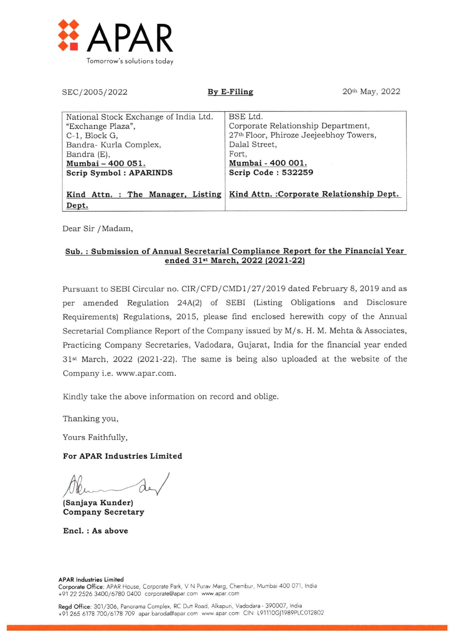

| SEC/2005/2022                                                                                                                                                       | 20th May, 2022<br>By E-Filing                                                                                                                                 |
|---------------------------------------------------------------------------------------------------------------------------------------------------------------------|---------------------------------------------------------------------------------------------------------------------------------------------------------------|
| National Stock Exchange of India Ltd.<br>"Exchange Plaza",<br>C-1, Block G,<br>Bandra- Kurla Complex,<br>Bandra (E),<br>Mumbai - 400 051.<br>Scrip Symbol: APARINDS | BSE Ltd.<br>Corporate Relationship Department,<br>27th Floor, Phiroze Jeejeebhoy Towers,<br>Dalal Street,<br>Fort,<br>Mumbai - 400 001.<br>Scrip Code: 532259 |
| Kind Attn. : The Manager, Listing<br>Dept.                                                                                                                          | Kind Attn.: Corporate Relationship Dept.                                                                                                                      |

Dear Sir /Madam,

# Sub. : Submission of Annual Secretarial Compliance Report for the Financial Year ended 31st March, 2022 (2021-22)

Pursuant to SEBI Circular no. CIR/CFD/CMD1/27/2019 dated February 8, 2019 and as per amended Regulation 24A(2) of SEBI (Listing Obligations and Disclosure Requirements) Regulations, 2015, please find enclosed herewith copy of the Annual Secretarial Compliance Report of the Company issued by M/s. H. M. Mehta & Associates, Practicing Company Secretaries, Vadodara, Gujarat, India for the financial year ended 31<sup>st</sup> March, 2022 (2021-22). The same is being also uploaded at the website of the Company i.e. www.apar.com.

Kindly take the above information on record and oblige.

Thanking you,

Yours Faithfully,

## For APAR Industries Limited

(Sanjaya Kunder) Company Secretary

Encl. : As above

### APAR Industries Limited

Corporate Office: APAR House, Corporate Park, V N Purav Marg, Chembur, Mumbai 400 071, India +91 22 2526 3400/6780 0400 corporate@apar.com www.apar.com

Regd Office: 301/306, Panorama Complex, RC Duff Road, Alkapuri, Vadodara - 390007, India +91 265 6178 700/6178 709 apar baroda@apar.com www apar corn ON L91110Gj1989PLC012802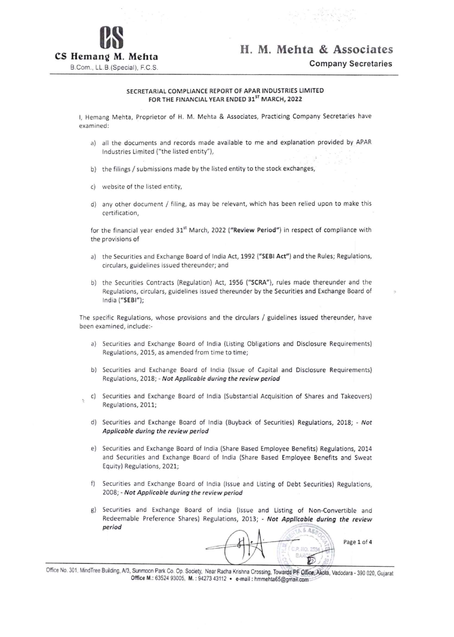

H. M. Mehta & Associates

Company Secretaries

### SECRETARIAL COMPLIANCE REPORT OF APAR INDUSTRIES LIMITED FOR THE FINANCIAL YEAR ENDED 31ST MARCH, 2022

I, Hemang Mehta, Proprietor of H. M. Mehta & Associates, Practicing Company Secretaries have examined:

- a) all the documents and records made available to me and explanation provided by APAR Industries Limited ("the listed entity"),
- b) the filings / submissions made by the listed entity to the stock exchanges,
- c) website of the listed entity,

Ŷ.

d) any other document / filing, as may be relevant, which has been relied upon to make this certification,

for the financial year ended 31<sup>st</sup> March, 2022 ("Review Period") in respect of compliance with the provisions of

- a) the Securities and Exchange Board of India Act, 1992 ("SEBI Act") and the Rules; Regulations, circulars, guidelines issued thereunder; and
- b) the Securities Contracts (Regulation) Act, 1956 ("SCRA"), rules made thereunder and the Regulations, circulars, guidelines issued thereunder by the Securities and Exchange Board of India ("SEBI");

The specific Regulations, whose provisions and the circulars / guidelines issued thereunder, have been examined, include:-

- a) Securities and Exchange Board of India (Listing Obligations and Disclosure Requirements) Regulations, 2015, as amended from time to time;
- b) Securities and Exchange Board of India (Issue of Capital and Disclosure Requirements) Regulations, 2018; - Not Applicable during the review period
- c) Securities and Exchange Board of India (Substantial Acquisition of Shares and Takeovers) Regulations, 2011;
- d) Securities and Exchange Board of India (Buyback of Securities) Regulations, 2018; Not Applicable during the review period
- e) Securities and Exchange Board of India (Share Based Employee Benefits) Regulations, 2014 and Securities and Exchange Board of India (Share Based Employee Benefits and Sweat Equity) Regulations, 2021;
- f) Securities and Exchange Board of India (Issue and Listing of Debt Securities) Regulations, 2008; - Not Applicable during the review period
- g) Securities and Exchange Board of India (Issue and Listing of Non-Convertible and Redeemable Preference Shares) Regulations, 2013; - Not Applicable during the review period \_

 $6A8$ Page 1 of 4  $0.100.2$ 

Office No. 301, MindTree Building, A/3, Sunmoon Park Co. Op. Society, Near Radha Krishna Crossing, Towards PF Office, Akota, Vadodara - 390 020, Gujarat Office M.: 63524 93005, M.: 94273 43112 . e-mail: hmmehta65@gmail.com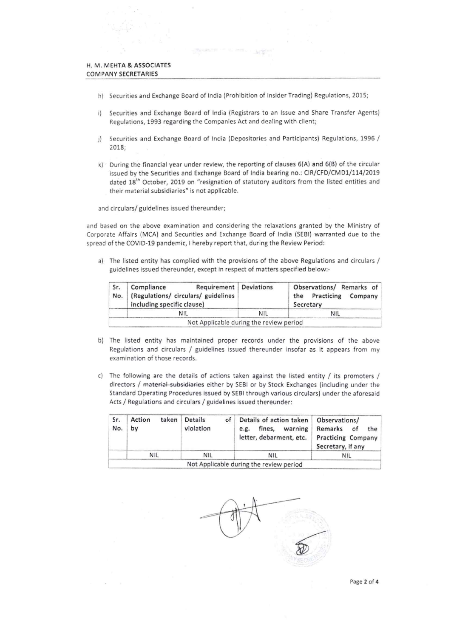- h) Securities and Exchange Board of India (Prohibition of Insider Trading) Regulations, 2015;
- i) Securities and Exchange Board of India (Registrars to an Issue and Share Transfer Agents) Regulations, 1993 regarding the Companies Act and dealing with client;
- j) Securities and Exchange Board of India (Depositories and Participants) Regulations, 1996 / 2018;
- k) During the financial year under review, the reporting of clauses 6(A) and 6(B) of the circular issued by the Securities and Exchange Board of India bearing no.: CIR/CFD/CMD1/114/2019 dated 18<sup>th</sup> October, 2019 on "resignation of statutory auditors from the listed entities and their material subsidiaries" is not applicable.

and circulars/ guidelines issued thereunder;

and based on the above examination and considering the relaxations granted by the Ministry of Corporate Affairs (MCA) and Securities and Exchange Board of India (SEBI) warranted due to the spread of the COVID-19 pandemic, I hereby report that, during the Review Period:

a) The listed entity has complied with the provisions of the above Regulations and circulars / guidelines issued thereunder, except in respect of matters specified below:-

| Sr.<br>No. | Compliance<br>(Regulations/ circulars/ guidelines<br>including specific clause) | Requirement Deviations                  | Observations/ Remarks of<br>the Practicing<br>Company<br>Secretary |  |
|------------|---------------------------------------------------------------------------------|-----------------------------------------|--------------------------------------------------------------------|--|
|            | NIL                                                                             | <b>NIL</b>                              | NIL                                                                |  |
|            |                                                                                 | Not Applicable during the review period |                                                                    |  |

- b) The listed entity has maintained proper records under the provisions of the above Regulations and circulars / guidelines issued thereunder insofar as it appears from my examination of those records.
- c) The following are the details of actions taken against the listed entity  $/$  its promoters  $/$ directors / material subsidiaries either by SEBI or by Stock Exchanges (including under the Standard Operating Procedures issued by SEBI through various circulars) under the aforesaid Acts / Regulations and circulars / guidelines issued thereunder:

| Sr.<br>No. | taken<br>Action<br>by | <b>Details</b><br>of<br>violation | Details of action taken<br>fines.<br>warning<br>e.g.<br>letter, debarment, etc. | Observations/<br>Remarks<br>of<br>the<br><b>Practicing Company</b><br>Secretary, if any |  |
|------------|-----------------------|-----------------------------------|---------------------------------------------------------------------------------|-----------------------------------------------------------------------------------------|--|
|            | <b>NIL</b>            | <b>NIL</b>                        | <b>NIL</b>                                                                      | <b>NIL</b>                                                                              |  |

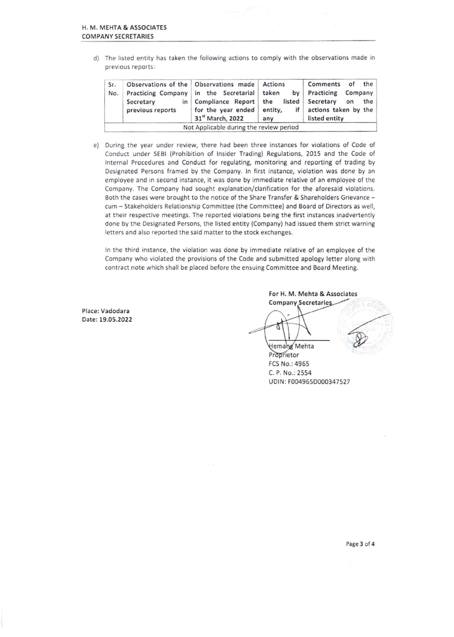d) The listed entity has taken the following actions to comply with the observations made in previous reports:

| Sr.<br>No. | Secretary<br>previous reports | Observations of the Observations made Actions<br>Practicing Company in the Secretarial taken<br>in Compliance Report the<br>for the year ended<br>31 <sup>st</sup> March, 2022 | if<br>entity,<br>any | Comments of<br>by Practicing Company<br>listed Secretary<br>actions taken by the<br>listed entity | the<br>the<br>on |
|------------|-------------------------------|--------------------------------------------------------------------------------------------------------------------------------------------------------------------------------|----------------------|---------------------------------------------------------------------------------------------------|------------------|
|            |                               | Not Applicable during the review period                                                                                                                                        |                      |                                                                                                   |                  |

e) During the year under review, there had been three instances for violations of Code of Conduct under SEBI (Prohibition of Insider Trading) Regulations, 2015 and the Code of Internal Procedures and Conduct for regulating, monitoring and reporting of trading by Designated Persons framed by the Company. In first instance, violation was done by an employee and in second instance, it was done by immediate relative of an employee of the Company. The Company had sought explanation/clarification for the aforesaid violations. Both the cases were brought to the notice of the Share Transfer & Shareholders Grievance cum — Stakeholders Relationship Committee (the Committee) and Board of Directors as well, at their respective meetings. The reported violations being the first instances inadvertently done by the Designated Persons, the listed entity (Company) had issued them strict warning letters and also reported the said matter to the stock exchanges.

In the third instance, the violation was done by immediate relative of an employee of the Company who violated the provisions of the Code and submitted apology letter along with contract note which shall be placed before the ensuing Committee and Board Meeting.

Place: Vadodara Date: 19.05.2022 For H. M. Mehta & Associates Company Secretarie Hemang Mehta

**Proprietor** FCS No.: 4965 C. P. No.: 2554 UDIN: F004965D000347527

Page 3 of 4